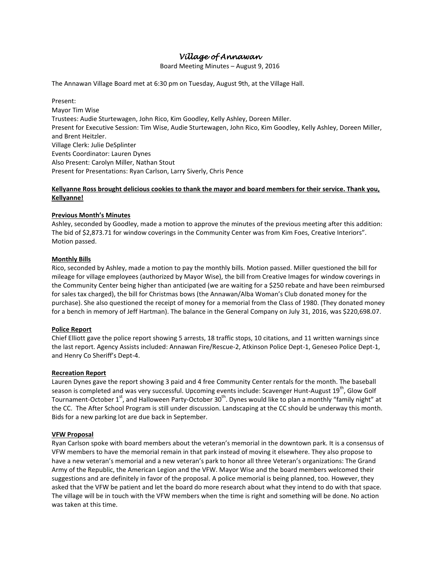# *Village of Annawan*

Board Meeting Minutes – August 9, 2016

The Annawan Village Board met at 6:30 pm on Tuesday, August 9th, at the Village Hall.

Present: Mayor Tim Wise Trustees: Audie Sturtewagen, John Rico, Kim Goodley, Kelly Ashley, Doreen Miller. Present for Executive Session: Tim Wise, Audie Sturtewagen, John Rico, Kim Goodley, Kelly Ashley, Doreen Miller, and Brent Heitzler. Village Clerk: Julie DeSplinter Events Coordinator: Lauren Dynes Also Present: Carolyn Miller, Nathan Stout Present for Presentations: Ryan Carlson, Larry Siverly, Chris Pence

# **Kellyanne Ross brought delicious cookies to thank the mayor and board members for their service. Thank you, Kellyanne!**

# **Previous Month's Minutes**

Ashley, seconded by Goodley, made a motion to approve the minutes of the previous meeting after this addition: The bid of \$2,873.71 for window coverings in the Community Center was from Kim Foes, Creative Interiors". Motion passed.

#### **Monthly Bills**

Rico, seconded by Ashley, made a motion to pay the monthly bills. Motion passed. Miller questioned the bill for mileage for village employees (authorized by Mayor Wise), the bill from Creative Images for window coverings in the Community Center being higher than anticipated (we are waiting for a \$250 rebate and have been reimbursed for sales tax charged), the bill for Christmas bows (the Annawan/Alba Woman's Club donated money for the purchase). She also questioned the receipt of money for a memorial from the Class of 1980. (They donated money for a bench in memory of Jeff Hartman). The balance in the General Company on July 31, 2016, was \$220,698.07.

#### **Police Report**

Chief Elliott gave the police report showing 5 arrests, 18 traffic stops, 10 citations, and 11 written warnings since the last report. Agency Assists included: Annawan Fire/Rescue-2, Atkinson Police Dept-1, Geneseo Police Dept-1, and Henry Co Sheriff's Dept-4.

#### **Recreation Report**

Lauren Dynes gave the report showing 3 paid and 4 free Community Center rentals for the month. The baseball season is completed and was very successful. Upcoming events include: Scavenger Hunt-August 19<sup>th</sup>, Glow Golf Tournament-October 1<sup>st</sup>, and Halloween Party-October 30<sup>th</sup>. Dynes would like to plan a monthly "family night" at the CC. The After School Program is still under discussion. Landscaping at the CC should be underway this month. Bids for a new parking lot are due back in September.

#### **VFW Proposal**

Ryan Carlson spoke with board members about the veteran's memorial in the downtown park. It is a consensus of VFW members to have the memorial remain in that park instead of moving it elsewhere. They also propose to have a new veteran's memorial and a new veteran's park to honor all three Veteran's organizations: The Grand Army of the Republic, the American Legion and the VFW. Mayor Wise and the board members welcomed their suggestions and are definitely in favor of the proposal. A police memorial is being planned, too. However, they asked that the VFW be patient and let the board do more research about what they intend to do with that space. The village will be in touch with the VFW members when the time is right and something will be done. No action was taken at this time.